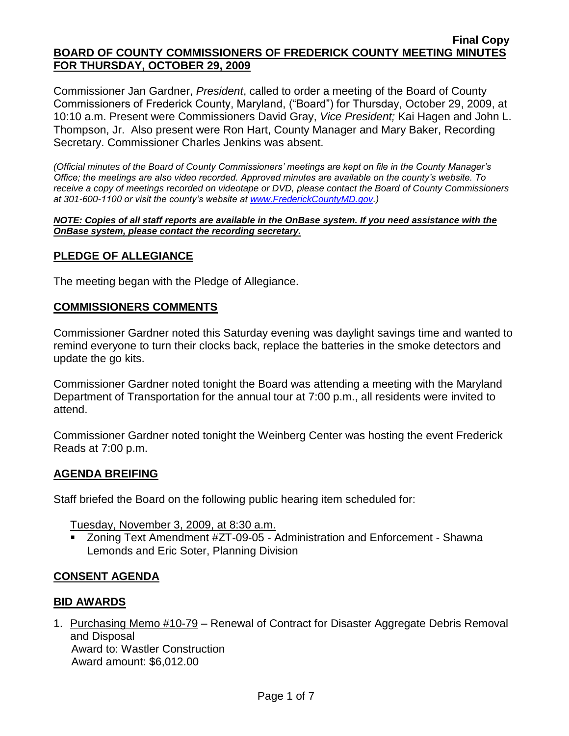Commissioner Jan Gardner, *President*, called to order a meeting of the Board of County Commissioners of Frederick County, Maryland, ("Board") for Thursday, October 29, 2009, at 10:10 a.m. Present were Commissioners David Gray, *Vice President;* Kai Hagen and John L. Thompson, Jr. Also present were Ron Hart, County Manager and Mary Baker, Recording Secretary. Commissioner Charles Jenkins was absent.

*(Official minutes of the Board of County Commissioners' meetings are kept on file in the County Manager's Office; the meetings are also video recorded. Approved minutes are available on the county's website. To receive a copy of meetings recorded on videotape or DVD, please contact the Board of County Commissioners at 301-600-1100 or visit the county's website at [www.FrederickCountyMD.gov.](http://www.frederickcountymd.gov/))*

#### *NOTE: Copies of all staff reports are available in the OnBase system. If you need assistance with the OnBase system, please contact the recording secretary.*

### **PLEDGE OF ALLEGIANCE**

The meeting began with the Pledge of Allegiance.

#### **COMMISSIONERS COMMENTS**

Commissioner Gardner noted this Saturday evening was daylight savings time and wanted to remind everyone to turn their clocks back, replace the batteries in the smoke detectors and update the go kits.

Commissioner Gardner noted tonight the Board was attending a meeting with the Maryland Department of Transportation for the annual tour at 7:00 p.m., all residents were invited to attend.

Commissioner Gardner noted tonight the Weinberg Center was hosting the event Frederick Reads at 7:00 p.m.

### **AGENDA BREIFING**

Staff briefed the Board on the following public hearing item scheduled for:

Tuesday, November 3, 2009, at 8:30 a.m.

 Zoning Text Amendment #ZT-09-05 - Administration and Enforcement - Shawna Lemonds and Eric Soter, Planning Division

### **CONSENT AGENDA**

### **BID AWARDS**

1. Purchasing Memo #10-79 – Renewal of Contract for Disaster Aggregate Debris Removal and Disposal Award to: Wastler Construction Award amount: \$6,012.00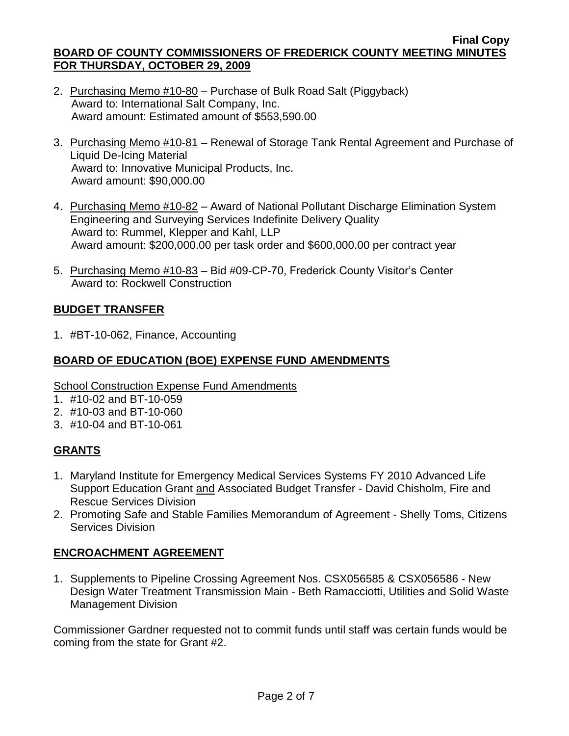- 2. Purchasing Memo #10-80 Purchase of Bulk Road Salt (Piggyback) Award to: International Salt Company, Inc. Award amount: Estimated amount of \$553,590.00
- 3. Purchasing Memo #10-81 Renewal of Storage Tank Rental Agreement and Purchase of Liquid De-Icing Material Award to: Innovative Municipal Products, Inc. Award amount: \$90,000.00
- 4. Purchasing Memo #10-82 Award of National Pollutant Discharge Elimination System Engineering and Surveying Services Indefinite Delivery Quality Award to: Rummel, Klepper and Kahl, LLP Award amount: \$200,000.00 per task order and \$600,000.00 per contract year
- 5. Purchasing Memo #10-83 Bid #09-CP-70, Frederick County Visitor's Center Award to: Rockwell Construction

# **BUDGET TRANSFER**

1. #BT-10-062, Finance, Accounting

### **BOARD OF EDUCATION (BOE) EXPENSE FUND AMENDMENTS**

**School Construction Expense Fund Amendments** 

- 1. #10-02 and BT-10-059
- 2. #10-03 and BT-10-060
- 3. #10-04 and BT-10-061

# **GRANTS**

- 1. Maryland Institute for Emergency Medical Services Systems FY 2010 Advanced Life Support Education Grant and Associated Budget Transfer - David Chisholm, Fire and Rescue Services Division
- 2. Promoting Safe and Stable Families Memorandum of Agreement Shelly Toms, Citizens Services Division

### **ENCROACHMENT AGREEMENT**

1. Supplements to Pipeline Crossing Agreement Nos. CSX056585 & CSX056586 - New Design Water Treatment Transmission Main - Beth Ramacciotti, Utilities and Solid Waste Management Division

Commissioner Gardner requested not to commit funds until staff was certain funds would be coming from the state for Grant #2.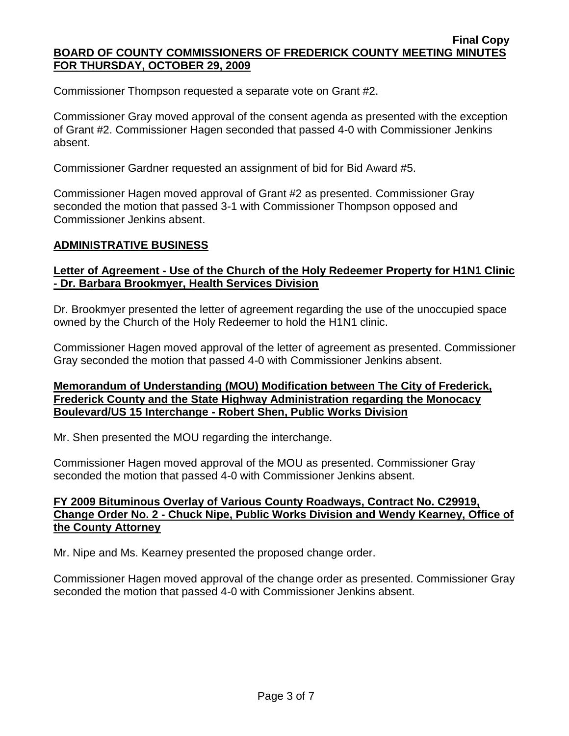Commissioner Thompson requested a separate vote on Grant #2.

Commissioner Gray moved approval of the consent agenda as presented with the exception of Grant #2. Commissioner Hagen seconded that passed 4-0 with Commissioner Jenkins absent.

Commissioner Gardner requested an assignment of bid for Bid Award #5.

Commissioner Hagen moved approval of Grant #2 as presented. Commissioner Gray seconded the motion that passed 3-1 with Commissioner Thompson opposed and Commissioner Jenkins absent.

#### **ADMINISTRATIVE BUSINESS**

### **Letter of Agreement - Use of the Church of the Holy Redeemer Property for H1N1 Clinic - Dr. Barbara Brookmyer, Health Services Division**

Dr. Brookmyer presented the letter of agreement regarding the use of the unoccupied space owned by the Church of the Holy Redeemer to hold the H1N1 clinic.

Commissioner Hagen moved approval of the letter of agreement as presented. Commissioner Gray seconded the motion that passed 4-0 with Commissioner Jenkins absent.

#### **Memorandum of Understanding (MOU) Modification between The City of Frederick, Frederick County and the State Highway Administration regarding the Monocacy Boulevard/US 15 Interchange - Robert Shen, Public Works Division**

Mr. Shen presented the MOU regarding the interchange.

Commissioner Hagen moved approval of the MOU as presented. Commissioner Gray seconded the motion that passed 4-0 with Commissioner Jenkins absent.

### **FY 2009 Bituminous Overlay of Various County Roadways, Contract No. C29919, Change Order No. 2 - Chuck Nipe, Public Works Division and Wendy Kearney, Office of the County Attorney**

Mr. Nipe and Ms. Kearney presented the proposed change order.

Commissioner Hagen moved approval of the change order as presented. Commissioner Gray seconded the motion that passed 4-0 with Commissioner Jenkins absent.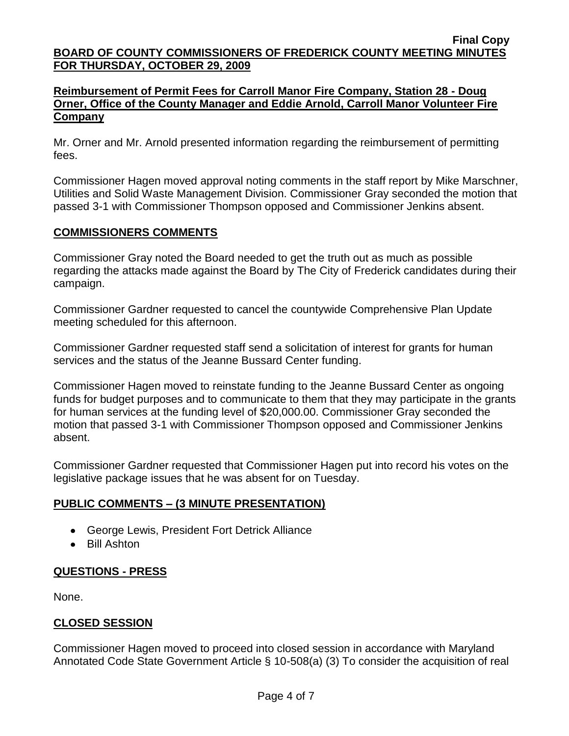### **Reimbursement of Permit Fees for Carroll Manor Fire Company, Station 28 - Doug Orner, Office of the County Manager and Eddie Arnold, Carroll Manor Volunteer Fire Company**

Mr. Orner and Mr. Arnold presented information regarding the reimbursement of permitting fees.

Commissioner Hagen moved approval noting comments in the staff report by Mike Marschner, Utilities and Solid Waste Management Division. Commissioner Gray seconded the motion that passed 3-1 with Commissioner Thompson opposed and Commissioner Jenkins absent.

### **COMMISSIONERS COMMENTS**

Commissioner Gray noted the Board needed to get the truth out as much as possible regarding the attacks made against the Board by The City of Frederick candidates during their campaign.

Commissioner Gardner requested to cancel the countywide Comprehensive Plan Update meeting scheduled for this afternoon.

Commissioner Gardner requested staff send a solicitation of interest for grants for human services and the status of the Jeanne Bussard Center funding.

Commissioner Hagen moved to reinstate funding to the Jeanne Bussard Center as ongoing funds for budget purposes and to communicate to them that they may participate in the grants for human services at the funding level of \$20,000.00. Commissioner Gray seconded the motion that passed 3-1 with Commissioner Thompson opposed and Commissioner Jenkins absent.

Commissioner Gardner requested that Commissioner Hagen put into record his votes on the legislative package issues that he was absent for on Tuesday.

# **PUBLIC COMMENTS – (3 MINUTE PRESENTATION)**

- George Lewis, President Fort Detrick Alliance
- Bill Ashton

# **QUESTIONS - PRESS**

None.

# **CLOSED SESSION**

Commissioner Hagen moved to proceed into closed session in accordance with Maryland Annotated Code State Government Article § 10-508(a) (3) To consider the acquisition of real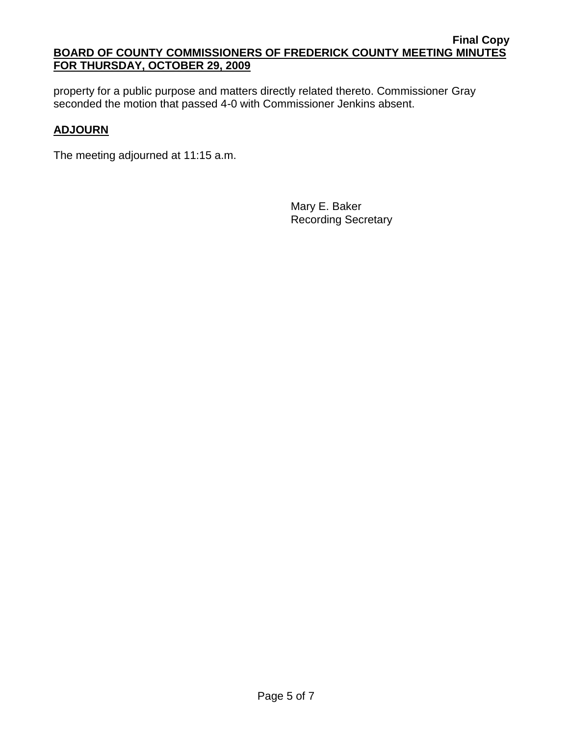property for a public purpose and matters directly related thereto. Commissioner Gray seconded the motion that passed 4-0 with Commissioner Jenkins absent.

# **ADJOURN**

The meeting adjourned at 11:15 a.m.

Mary E. Baker Recording Secretary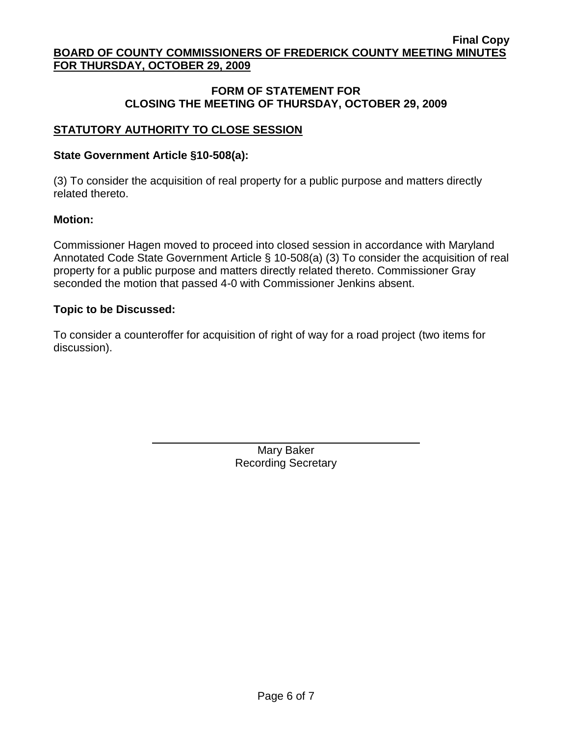### **FORM OF STATEMENT FOR CLOSING THE MEETING OF THURSDAY, OCTOBER 29, 2009**

# **STATUTORY AUTHORITY TO CLOSE SESSION**

### **State Government Article §10-508(a):**

(3) To consider the acquisition of real property for a public purpose and matters directly related thereto.

### **Motion:**

Commissioner Hagen moved to proceed into closed session in accordance with Maryland Annotated Code State Government Article § 10-508(a) (3) To consider the acquisition of real property for a public purpose and matters directly related thereto. Commissioner Gray seconded the motion that passed 4-0 with Commissioner Jenkins absent.

### **Topic to be Discussed:**

To consider a counteroffer for acquisition of right of way for a road project (two items for discussion).

> Mary Baker Recording Secretary